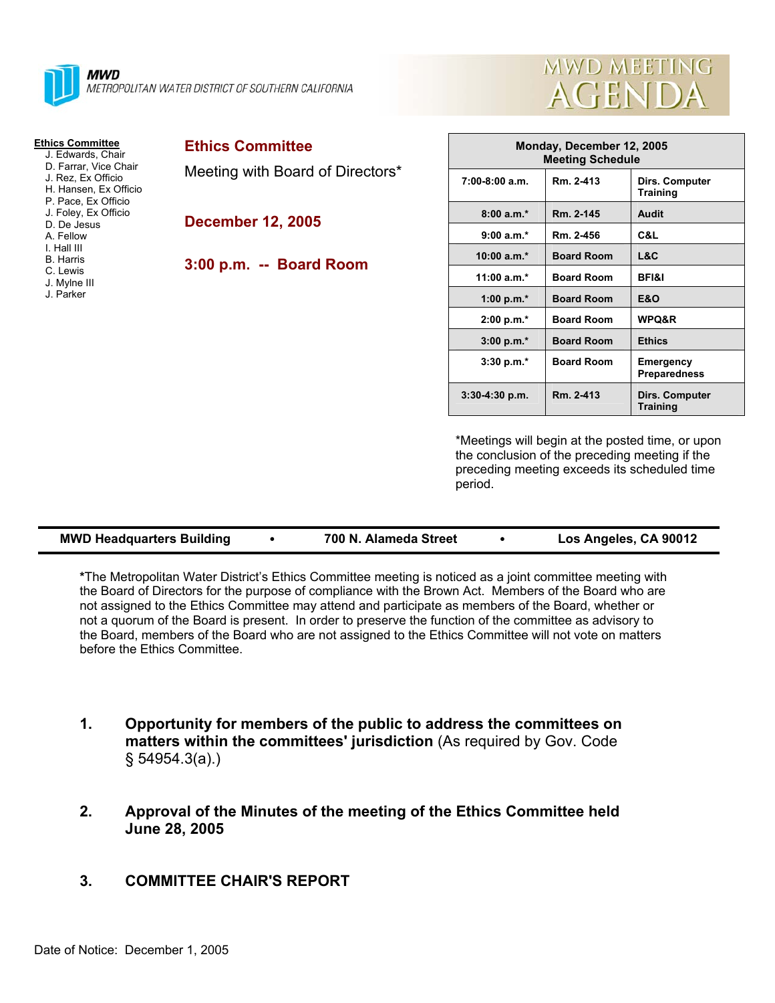

#### **Ethics Committee**

 J. Edwards, Chair D. Farrar, Vice Chair J. Rez, Ex Officio H. Hansen, Ex Officio P. Pace, Ex Officio J. Foley, Ex Officio D. De Jesus A. Fellow I. Hall III B. Harris C. Lewis J. Mylne III

J. Parker

## **Ethics Committee**

Meeting with Board of Directors\*

#### **December 12, 2005**

## **3:00 p.m. -- Board Room**



| Monday, December 12, 2005<br><b>Meeting Schedule</b> |                   |                                   |
|------------------------------------------------------|-------------------|-----------------------------------|
| $7:00-8:00$ a.m.                                     | Rm. 2-413         | Dirs. Computer<br><b>Training</b> |
| $8:00 a.m.*$                                         | Rm. 2-145         | Audit                             |
| $9:00 a.m.*$                                         | Rm. 2-456         | C&L                               |
| $10:00 a.m.*$                                        | <b>Board Room</b> | L&C                               |
| 11:00 $a.m.*$                                        | <b>Board Room</b> | <b>BFI&amp;I</b>                  |
| 1:00 p.m. $*$                                        | <b>Board Room</b> | <b>E&amp;O</b>                    |
| 2:00 p.m.*                                           | <b>Board Room</b> | <b>WPQ&amp;R</b>                  |
| $3:00 p.m.*$                                         | <b>Board Room</b> | <b>Ethics</b>                     |
| $3:30$ p.m. $*$                                      | <b>Board Room</b> | Emergency<br><b>Preparedness</b>  |
| $3:30-4:30$ p.m.                                     | Rm. 2-413         | Dirs. Computer<br><b>Training</b> |

\*Meetings will begin at the posted time, or upon the conclusion of the preceding meeting if the preceding meeting exceeds its scheduled time period.

**\***The Metropolitan Water District's Ethics Committee meeting is noticed as a joint committee meeting with the Board of Directors for the purpose of compliance with the Brown Act. Members of the Board who are not assigned to the Ethics Committee may attend and participate as members of the Board, whether or not a quorum of the Board is present. In order to preserve the function of the committee as advisory to the Board, members of the Board who are not assigned to the Ethics Committee will not vote on matters before the Ethics Committee.

- **1. Opportunity for members of the public to address the committees on matters within the committees' jurisdiction** (As required by Gov. Code § 54954.3(a).)
- **2. Approval of the Minutes of the meeting of the Ethics Committee held June 28, 2005**
- **3. COMMITTEE CHAIR'S REPORT**